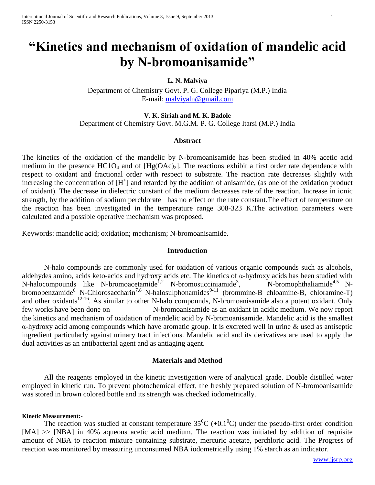# **"Kinetics and mechanism of oxidation of mandelic acid by N-bromoanisamide"**

# **L. N. Malviya**

Department of Chemistry Govt. P. G. College Pipariya (M.P.) India E-mail: [malviyaln@gmail.com](mailto:malviyaln@gmail.com)

**V. K. Siriah and M. K. Badole** Department of Chemistry Govt. M.G.M. P. G. College Itarsi (M.P.) India

# **Abstract**

The kinetics of the oxidation of the mandelic by N-bromoanisamide has been studied in 40% acetic acid medium in the presence  $HC1O_4$  and of  $[Hg(OAc)_2]$ . The reactions exhibit a first order rate dependence with respect to oxidant and fractional order with respect to substrate. The reaction rate decreases slightly with increasing the concentration of  $[H^+]$  and retarded by the addition of anisamide, (as one of the oxidation product of oxidant). The decrease in dielectric constant of the medium decreases rate of the reaction. Increase in ionic strength, by the addition of sodium perchlorate has no effect on the rate constant.The effect of temperature on the reaction has been investigated in the temperature range 308-323 K.The activation parameters were calculated and a possible operative mechanism was proposed.

Keywords: mandelic acid; oxidation; mechanism; N-bromoanisamide.

## **Introduction**

N-halo compounds are commonly used for oxidation of various organic compounds such as alcohols, aldehydes amino, acids keto-acids and hydroxy acids etc. The kinetics of α-hydroxy acids has been studied with  $N$ -halocompounds like N-bromoacetamide<sup>1,2</sup> N-bromosucciniamide<sup>3</sup>, N-bromophthaliamide<sup>4,5</sup> Nbromobenzamide<sup>6</sup> N-Chlorosaccharin<sup>7,8</sup> N-halosulphonamides<sup>9-11</sup> (brommine-B chloamine-B, chloramine-T) and other oxidants<sup>12-16</sup>. As similar to other N-halo compounds, N-bromoanisamide also a potent oxidant. Only few works have been done on N-bromoanisamide as an oxidant in acidic medium. We now report the kinetics and mechanism of oxidation of mandelic acid by N-bromoanisamide. Mandelic acid is the smallest α-hydroxy acid among compounds which have aromatic group. It is excreted well in urine & used as antiseptic ingredient particularly against urinary tract infections. Mandelic acid and its derivatives are used to apply the dual activities as an antibacterial agent and as antiaging agent.

## **Materials and Method**

All the reagents employed in the kinetic investigation were of analytical grade. Double distilled water employed in kinetic run. To prevent photochemical effect, the freshly prepared solution of N-bromoanisamide was stored in brown colored bottle and its strength was checked iodometrically.

### **Kinetic Measurement:-**

The reaction was studied at constant temperature  $35^{\circ}C \left( \pm 0.1^{\circ}C \right)$  under the pseudo-first order condition [MA]  $\gg$  [NBA] in 40% aqueous acetic acid medium. The reaction was initiated by addition of requisite amount of NBA to reaction mixture containing substrate, mercuric acetate, perchloric acid. The Progress of reaction was monitored by measuring unconsumed NBA iodometrically using 1% starch as an indicator.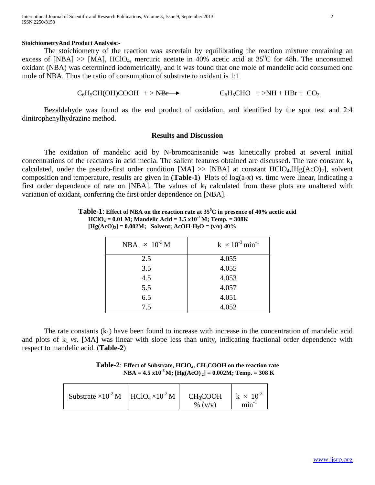#### **StoichiometryAnd Product Analysis:-**

The stoichiometry of the reaction was ascertain by equilibrating the reaction mixture containing an excess of [NBA]  $\gg$  [MA], HClO<sub>4</sub>, mercuric acetate in 40% acetic acid at 35<sup>0</sup>C for 48h. The unconsumed oxidant (NBA) was determined iodometrically, and it was found that one mole of mandelic acid consumed one mole of NBA. Thus the ratio of consumption of substrate to oxidant is 1:1

 $C_6H_5CH(OH)COOH$  + > NBr  $\rightarrow$  C<sub>6</sub>H<sub>5</sub>CHO + >NH + HBr + CO<sub>2</sub>

Bezaldehyde was found as the end product of oxidation, and identified by the spot test and 2:4 dinitrophenylhydrazine method.

# **Results and Discussion**

The oxidation of mandelic acid by N-bromoanisanide was kinetically probed at several initial concentrations of the reactants in acid media. The salient features obtained are discussed. The rate constant  $k_1$ calculated, under the pseudo-first order condition  $[MA] \gg [NBA]$  at constant  $HClO<sub>4</sub>, [Hg(AcO)<sub>2</sub>]$ , solvent composition and temperature, results are given in (**Table-1**) Plots of log(a-x) *vs.* time were linear, indicating a first order dependence of rate on [NBA]. The values of  $k_1$  calculated from these plots are unaltered with variation of oxidant, conferring the first order dependence on [NBA].

| NBA $\times$ 10 <sup>-3</sup> M | $k \times 10^{-3}$ min <sup>-1</sup> |
|---------------------------------|--------------------------------------|
| 2.5                             | 4.055                                |
| 3.5                             | 4.055                                |
| 4.5                             | 4.053                                |
| 5.5                             | 4.057                                |
| 6.5                             | 4.051                                |
| 7.5                             | 4.052                                |

**Table-1**: **Effect of NBA on the reaction rate at 35<sup>0</sup>C in presence of 40% acetic acid HClO**<sub>4</sub> = 0.01 M; Mandelic Acid =  $3.5 \times 10^{-2}$  M; Temp. =  $308K$  $[Hg(AcO)<sub>2</sub>] = 0.002M$ ; Solvent; AcOH-H<sub>2</sub>O =  $(v/v)$  40%

The rate constants  $(k_1)$  have been found to increase with increase in the concentration of mandelic acid and plots of  $k_1$  *vs.* [MA] was linear with slope less than unity, indicating fractional order dependence with respect to mandelic acid. (**Table-2**)

**Table-2**: **Effect of Substrate, HClO4, CH3COOH on the reaction rate NBA** =  $4.5 \times 10^{-3}$  M;  $[Hg(AcO)]_2] = 0.002$ M; Temp. = 308 K

| Substrate $\times 10^{-2}$ M $\parallel$ HClO <sub>4</sub> $\times 10^{-2}$ M $\parallel$ |  | $CH_3COOH$<br>% $(v/v)$ | $k \times 10^{-3}$<br>$min^{-1}$ |
|-------------------------------------------------------------------------------------------|--|-------------------------|----------------------------------|
|-------------------------------------------------------------------------------------------|--|-------------------------|----------------------------------|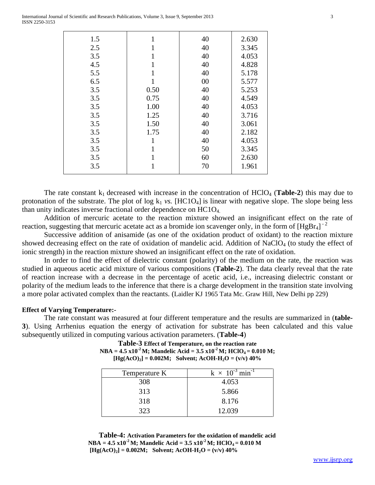| 1.5 | 1            | 40 | 2.630 |
|-----|--------------|----|-------|
| 2.5 | 1            | 40 | 3.345 |
| 3.5 | 1            | 40 | 4.053 |
| 4.5 | $\mathbf{1}$ | 40 | 4.828 |
| 5.5 | 1            | 40 | 5.178 |
| 6.5 | 1            | 00 | 5.577 |
| 3.5 | 0.50         | 40 | 5.253 |
| 3.5 | 0.75         | 40 | 4.549 |
| 3.5 | 1.00         | 40 | 4.053 |
| 3.5 | 1.25         | 40 | 3.716 |
| 3.5 | 1.50         | 40 | 3.061 |
| 3.5 | 1.75         | 40 | 2.182 |
| 3.5 | 1            | 40 | 4.053 |
| 3.5 | 1            | 50 | 3.345 |
| 3.5 | 1            | 60 | 2.630 |
| 3.5 | $\mathbf 1$  | 70 | 1.961 |
|     |              |    |       |

The rate constant  $k_1$  decreased with increase in the concentration of  $HClO<sub>4</sub>$  (**Table-2**) this may due to protonation of the substrate. The plot of  $log k_1$  *vs.* [HC1O<sub>4</sub>] is linear with negative slope. The slope being less than unity indicates inverse fractional order dependence on  $HClO<sub>4</sub>$ .

Addition of mercuric acetate to the reaction mixture showed an insignificant effect on the rate of reaction, suggesting that mercuric acetate act as a bromide ion scavenger only, in the form of  $[HgBr_4]^{-2}$ 

Successive addition of anisamide (as one of the oxidation product of oxidant) to the reaction mixture showed decreasing effect on the rate of oxidation of mandelic acid. Addition of NaClO<sub>4</sub> (to study the effect of ionic strength) in the reaction mixture showed an insignificant effect on the rate of oxidation.

In order to find the effect of dielectric constant (polarity) of the medium on the rate, the reaction was studied in aqueous acetic acid mixture of various compositions (**Table-2**). The data clearly reveal that the rate of reaction increase with a decrease in the percentage of acetic acid, i.e., increasing dielectric constant or polarity of the medium leads to the inference that there is a charge development in the transition state involving a more polar activated complex than the reactants. (Laidler KJ 1965 Tata Mc. Graw Hill, New Delhi pp 229)

## **Effect of Varying Temperature:-**

The rate constant was measured at four different temperature and the results are summarized in (**table-3**). Using Arrhenius equation the energy of activation for substrate has been calculated and this value subsequently utilized in computing various activation parameters. (**Table-4**)

**Table-3 Effect of Temperature, on the reaction rate**  $NBA = 4.5 \times 10^{-2}$  M; Mandelic Acid =  $3.5 \times 10^{-2}$  M; HClO<sub>4</sub> = 0.010 M;  $[Hg(AcO)_2] = 0.002M$ ; Solvent; AcOH-H<sub>2</sub>O =  $(v/v)$  40%

| Temperature K | $k \times 10^{-3}$ min <sup>-1</sup> |
|---------------|--------------------------------------|
| 308           | 4.053                                |
| 313           | 5.866                                |
| 318           | 8.176                                |
| 323           | 12.039                               |

**Table-4: Activation Parameters for the oxidation of mandelic acid**  $NBA = 4.5 \times 10^{-2} M$ ; Mandelic Acid =  $3.5 \times 10^{-2} M$ ; HClO<sub>4</sub> = 0.010 M  $[Hg(AcO)<sub>2</sub>] = 0.002M;$  Solvent; AcOH-H<sub>2</sub>O =  $(v/v)$  40%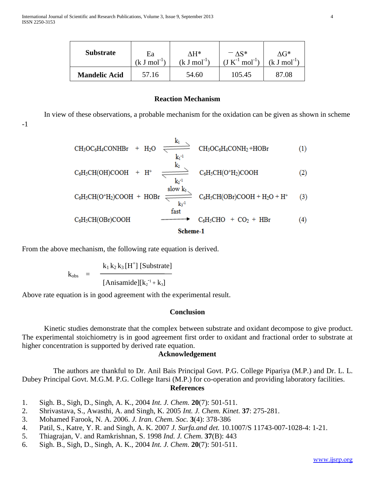| <b>Substrate</b>     | Ea            | ۸H*              | $-\Lambda S^*$        | AG*.         |
|----------------------|---------------|------------------|-----------------------|--------------|
|                      | $(k J mol-1)$ | $(k J mol^{-1})$ | $(J K^{-1} mol^{-1})$ | . $J \mod 1$ |
| <b>Mandelic Acid</b> | 57.16         | 54.60            | 105.45                | 87.08        |

## **Reaction Mechanism**

In view of these observations, a probable mechanism for the oxidation can be given as shown in scheme

-1

$$
CH_{3}OC_{6}H_{4}CONHBr + H_{2}O \n\xrightarrow[k_{1}]{} CH_{3}OC_{6}H_{4}CONH_{2}+HOBr
$$
\n
$$
C_{6}H_{5}CH(OH)COOH + H^{+} \n\xrightarrow[k_{2}]{} C_{6}H_{5}CH(O^{+}H_{2})COOH
$$
\n
$$
C_{6}H_{5}CH(O^{+}H_{2})COOH + HOBr \n\xrightarrow[k_{3}]{} C_{6}H_{5}CH(OBr)COOH + H_{2}O + H^{+}
$$
\n
$$
C_{6}H_{5}CH(OBr)COOH \n\xrightarrow{fast} C_{6}H_{5}CHO + CO_{2} + HBr
$$
\n
$$
(4)
$$

Scheme-1

From the above mechanism, the following rate equation is derived.

$$
k_{obs} = \frac{k_1 k_2 k_3 [H^+] [Substrate]}{[Anisamide][k_2^{-1} + k_3]}
$$

Above rate equation is in good agreement with the experimental result.

# **Conclusion**

Kinetic studies demonstrate that the complex between substrate and oxidant decompose to give product. The experimental stoichiometry is in good agreement first order to oxidant and fractional order to substrate at higher concentration is supported by derived rate equation.

# **Acknowledgement**

 The authors are thankful to Dr. Anil Bais Principal Govt. P.G. College Pipariya (M.P.) and Dr. L. L. Dubey Principal Govt. M.G.M. P.G. College Itarsi (M.P.) for co-operation and providing laboratory facilities. **References**

- 1. Sigh. B., Sigh, D., Singh, A. K., 2004 *Int. J. Chem.* **20**(7): 501-511.
- 2. Shrivastava, S., Awasthi, A. and Singh, K. 2005 *Int. J. Chem. Kinet.* **37**: 275-281.
- 3. Mohamed Farook, N. A. 2006. *J. Iran. Chem. Soc.* **3**(4): 378-386
- 4. Patil, S., Katre, Y. R. and Singh, A. K. 2007 *J. Surfa.and det.* 10.1007/S 11743-007-1028-4: 1-21.
- 5. Thiagrajan, V. and Ramkrishnan, S. 1998 *Ind. J. Chem*. **37**(B): 443
- 6. Sigh. B., Sigh, D., Singh, A. K., 2004 *Int. J. Chem.* **20**(7): 501-511.